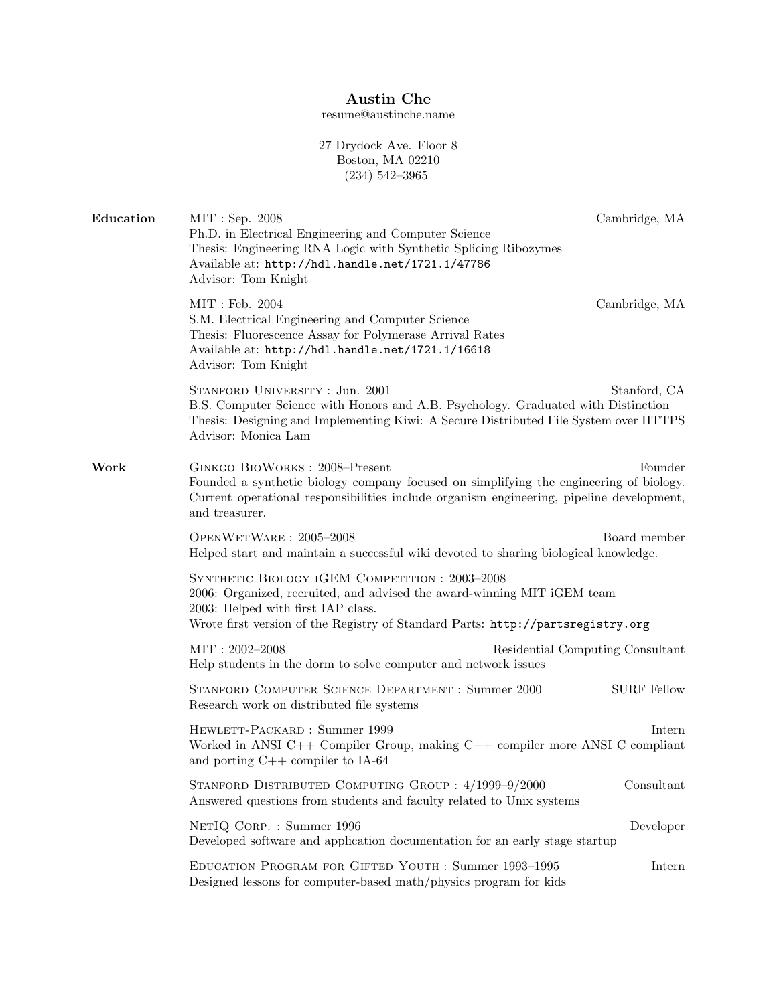## Austin Che

resume@austinche.name

27 Drydock Ave. Floor 8 Boston, MA 02210 (234) 542–3965

| Education | MIT : Sep. 2008<br>Ph.D. in Electrical Engineering and Computer Science<br>Thesis: Engineering RNA Logic with Synthetic Splicing Ribozymes<br>Available at: http://hdl.handle.net/1721.1/47786<br>Advisor: Tom Knight                             | Cambridge, MA                    |  |
|-----------|---------------------------------------------------------------------------------------------------------------------------------------------------------------------------------------------------------------------------------------------------|----------------------------------|--|
|           | MIT : Feb. 2004<br>S.M. Electrical Engineering and Computer Science<br>Thesis: Fluorescence Assay for Polymerase Arrival Rates<br>Available at: http://hdl.handle.net/1721.1/16618<br>Advisor: Tom Knight                                         | Cambridge, MA                    |  |
|           | STANFORD UNIVERSITY : Jun. 2001<br>B.S. Computer Science with Honors and A.B. Psychology. Graduated with Distinction<br>Thesis: Designing and Implementing Kiwi: A Secure Distributed File System over HTTPS<br>Advisor: Monica Lam               | Stanford, CA                     |  |
| Work      | GINKGO BIOWORKS: 2008-Present<br>Founder<br>Founded a synthetic biology company focused on simplifying the engineering of biology.<br>Current operational responsibilities include organism engineering, pipeline development,<br>and treasurer.  |                                  |  |
|           | OPENWETWARE: 2005-2008<br>Helped start and maintain a successful wiki devoted to sharing biological knowledge.                                                                                                                                    | Board member                     |  |
|           | SYNTHETIC BIOLOGY IGEM COMPETITION: 2003-2008<br>2006: Organized, recruited, and advised the award-winning MIT iGEM team<br>2003: Helped with first IAP class.<br>Wrote first version of the Registry of Standard Parts: http://partsregistry.org |                                  |  |
|           | $MIT: 2002 - 2008$<br>Help students in the dorm to solve computer and network issues                                                                                                                                                              | Residential Computing Consultant |  |
|           | STANFORD COMPUTER SCIENCE DEPARTMENT : Summer 2000<br>Research work on distributed file systems                                                                                                                                                   | <b>SURF</b> Fellow               |  |
|           | HEWLETT-PACKARD: Summer 1999<br>Worked in ANSI C++ Compiler Group, making C++ compiler more ANSI C compliant<br>and porting $C++$ compiler to IA-64                                                                                               | Intern                           |  |
|           | STANFORD DISTRIBUTED COMPUTING GROUP: 4/1999-9/2000<br>Answered questions from students and faculty related to Unix systems                                                                                                                       | $\label{con}$ Consultant         |  |
|           | NETIQ CORP. : Summer 1996<br>Developed software and application documentation for an early stage startup                                                                                                                                          | Developer                        |  |
|           | EDUCATION PROGRAM FOR GIFTED YOUTH : Summer 1993-1995<br>Designed lessons for computer-based math/physics program for kids                                                                                                                        | Intern                           |  |